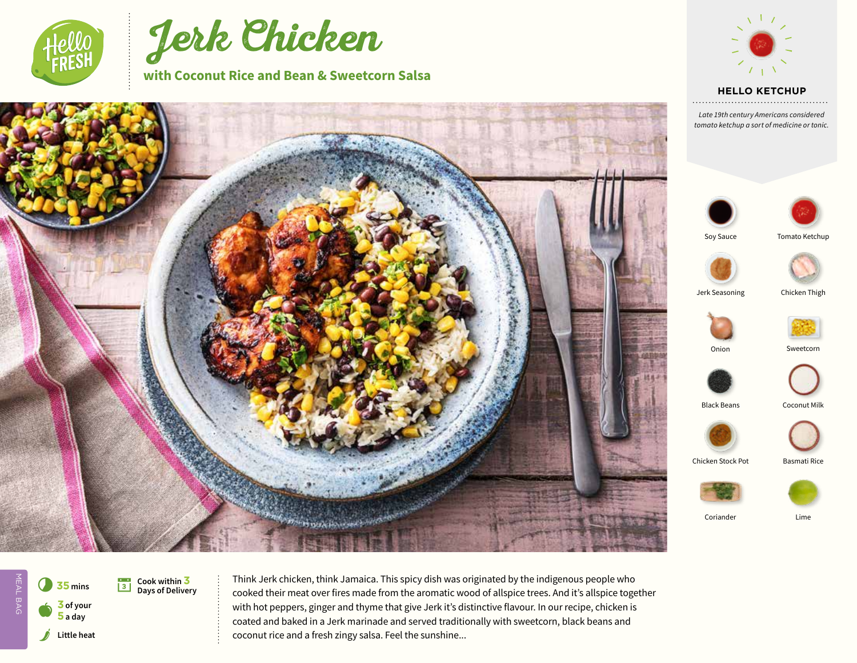



**with Coconut Rice and Bean & Sweetcorn Salsa**



**HELLO KETCHUP** 

*Late 19th century Americans considered tomato ketchup a sort of medicine or tonic.*







Soy Sauce



Jerk Seasoning Chicken Thigh





Onion Sweetcorn



Black Beans Coconut Milk





Coriander Lime



Think Jerk chicken, think Jamaica. This spicy dish was originated by the indigenous people who cooked their meat over fires made from the aromatic wood of allspice trees. And it's allspice together with hot peppers, ginger and thyme that give Jerk it's distinctive flavour. In our recipe, chicken is coated and baked in a Jerk marinade and served traditionally with sweetcorn, black beans and coconut rice and a fresh zingy salsa. Feel the sunshine...